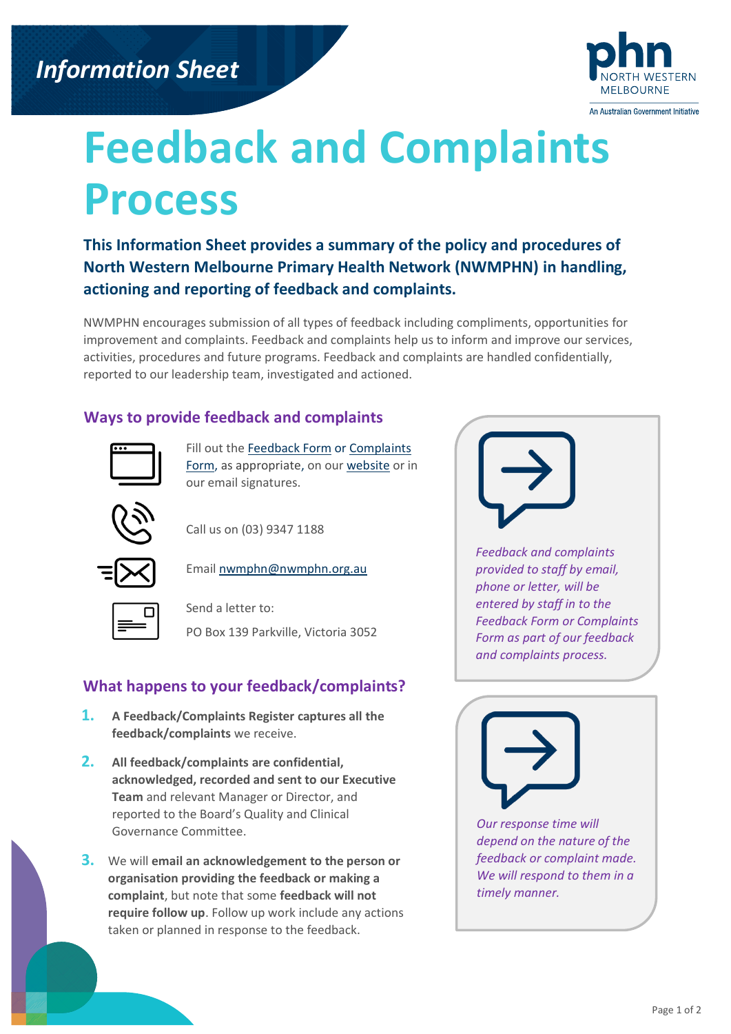

# **Feedback and Complaints Process**

**This Information Sheet provides a summary of the policy and procedures of North Western Melbourne Primary Health Network (NWMPHN) in handling, actioning and reporting of feedback and complaints.** 

NWMPHN encourages submission of all types of feedback including compliments, opportunities for improvement and complaints. Feedback and complaints help us to inform and improve our services, activities, procedures and future programs. Feedback and complaints are handled confidentially, reported to our leadership team, investigated and actioned.

### **Ways to provide feedback and complaints**



Fill out th[e Feedback Form](https://nwmphn.org.au/feedback) or Complaints [Form,](https://nwmphn.org.au/complaints-form/) as appropriate, on our [website](https://nwmphn.org.au/about-nwmphn/contact-us/) or in our email signatures.

Call us on (03) 9347 1188



Emai[l nwmphn@nwmphn.org.au](mailto:nwmphn@nwmphn.org.au)

Send a letter to: PO Box 139 Parkville, Victoria 3052

## **What happens to your feedback/complaints?**

- **1. A Feedback/Complaints Register captures all the feedback/complaints** we receive.
- **2. All feedback/complaints are confidential, acknowledged, recorded and sent to our Executive Team** and relevant Manager or Director, and reported to the Board's Quality and Clinical Governance Committee.
- **3.** We will **email an acknowledgement to the person or organisation providing the feedback or making a complaint**, but note that some **feedback will not require follow up**. Follow up work include any actions taken or planned in response to the feedback.



*Feedback and complaints provided to staff by email, phone or letter, will be entered by staff in to the Feedback Form or Complaints Form as part of our feedback and complaints process.*



*Our response time will depend on the nature of the feedback or complaint made. We will respond to them in a timely manner.*